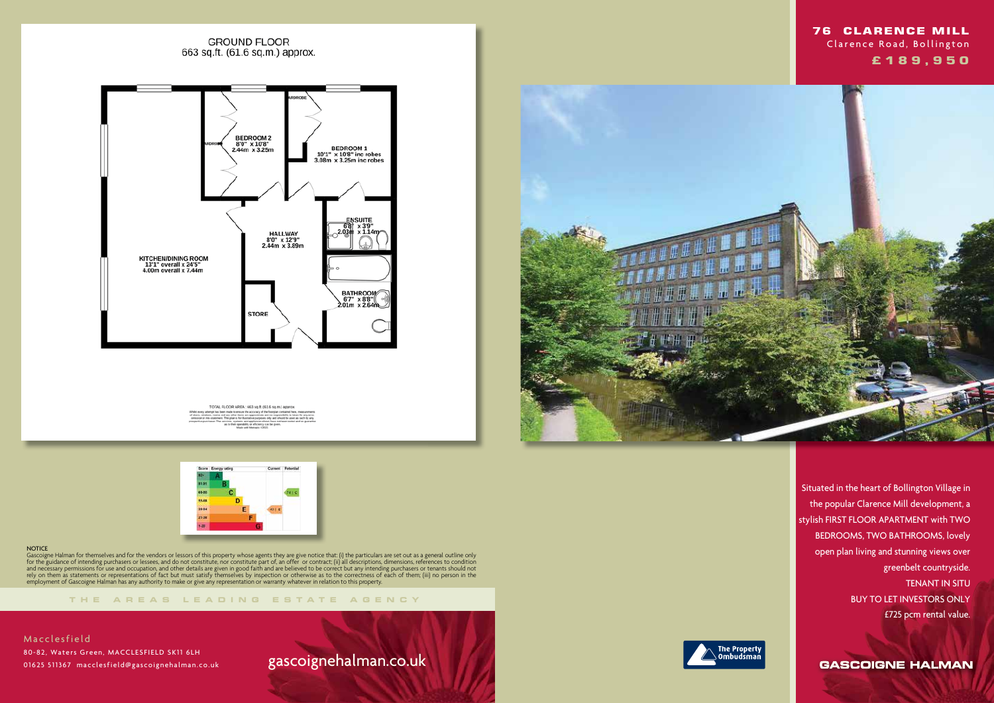### **GROUND FLOOR** 663 sq.ft. (61.6 sq.m.) approx.



TOTAL FLOOR AREA : 663 sq.ft. (61.6 sq.m.) appro



#### **NOTICE**

**THE AREA S LEADING ES T A TE A G E N C Y**



Gascoigne Halman for themselves and for the vendors or lessors of this property whose agents they are give notice that: (i) the particulars are set out as a general outline only for the guidance of intending purchasers or lessees, and do not constitute, nor constitute part of, an offer or contract; (ii) all descriptions, dimensions, references to condition and necessary permissions for use and occupation, and other details are given in good faith and are believed to be correct but any intending purchasers or tenants should not rely on them as statements or representations of fact but must satisfy themselves by inspection or otherwise as to the correctness of each of them; (iii) no person in the employment of Gascoigne Halman has any authority to make or give any representation or warranty whatever in relation to this property.

**Macclesfield**  80-82, Waters Green, MACCLESFIELD SK11 6LH 01625 511367 macclesfield@gascoignehalman.co.uk

# gascoignehalman.co.uk



 Situated in the heart of Bollington Village in the popular Clarence Mill development, a stylish FIRST FLOOR APARTMENT with TWO BEDROOMS, TWO BATHROOMS, lovely open plan living and stunning views over greenbelt countryside. TENANT IN SITU BUY TO LET INVESTORS ONLY £725 pcm rental value.

**GASCOIGNE HALMAN** 

## **76 CLARENCE MILL** Clarence Road, Bollington  **£ 1 8 9 , 9 5 0**